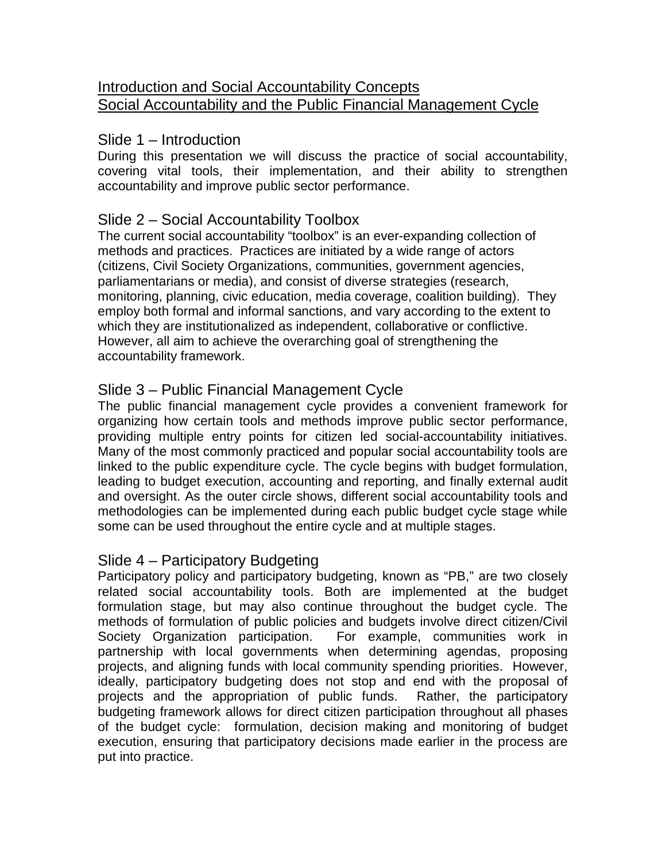### Introduction and Social Accountability Concepts Social Accountability and the Public Financial Management Cycle

### Slide 1 – Introduction

During this presentation we will discuss the practice of social accountability, covering vital tools, their implementation, and their ability to strengthen accountability and improve public sector performance.

# Slide 2 – Social Accountability Toolbox

The current social accountability "toolbox" is an ever-expanding collection of methods and practices. Practices are initiated by a wide range of actors (citizens, Civil Society Organizations, communities, government agencies, parliamentarians or media), and consist of diverse strategies (research, monitoring, planning, civic education, media coverage, coalition building). They employ both formal and informal sanctions, and vary according to the extent to which they are institutionalized as independent, collaborative or conflictive. However, all aim to achieve the overarching goal of strengthening the accountability framework.

# Slide 3 – Public Financial Management Cycle

The public financial management cycle provides a convenient framework for organizing how certain tools and methods improve public sector performance, providing multiple entry points for citizen led social-accountability initiatives. Many of the most commonly practiced and popular social accountability tools are linked to the public expenditure cycle. The cycle begins with budget formulation, leading to budget execution, accounting and reporting, and finally external audit and oversight. As the outer circle shows, different social accountability tools and methodologies can be implemented during each public budget cycle stage while some can be used throughout the entire cycle and at multiple stages.

### Slide 4 – Participatory Budgeting

Participatory policy and participatory budgeting, known as "PB," are two closely related social accountability tools. Both are implemented at the budget formulation stage, but may also continue throughout the budget cycle. The methods of formulation of public policies and budgets involve direct citizen/Civil Society Organization participation. For example, communities work in partnership with local governments when determining agendas, proposing projects, and aligning funds with local community spending priorities. However, ideally, participatory budgeting does not stop and end with the proposal of projects and the appropriation of public funds. Rather, the participatory budgeting framework allows for direct citizen participation throughout all phases of the budget cycle: formulation, decision making and monitoring of budget execution, ensuring that participatory decisions made earlier in the process are put into practice.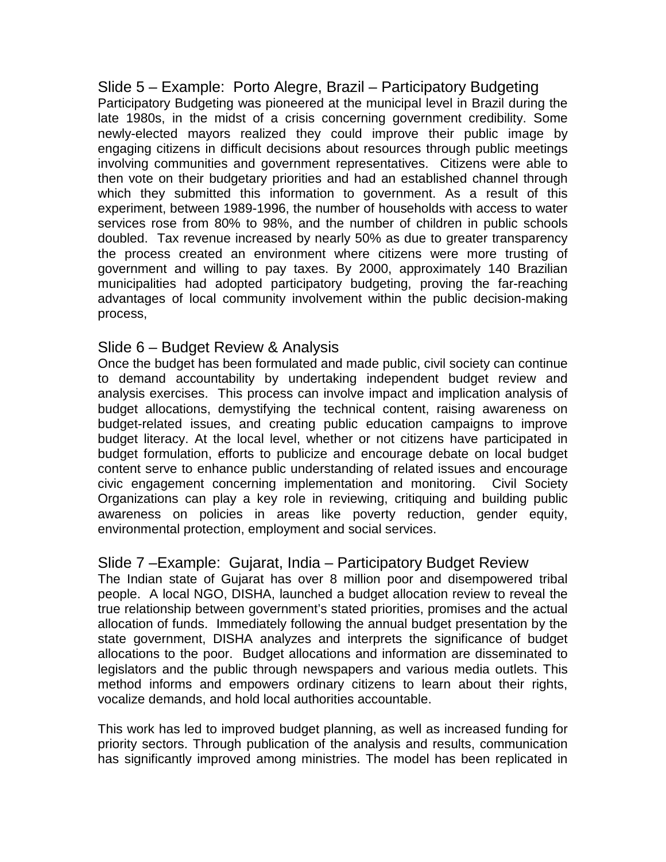Slide 5 – Example: Porto Alegre, Brazil – Participatory Budgeting Participatory Budgeting was pioneered at the municipal level in Brazil during the late 1980s, in the midst of a crisis concerning government credibility. Some newly-elected mayors realized they could improve their public image by engaging citizens in difficult decisions about resources through public meetings involving communities and government representatives. Citizens were able to then vote on their budgetary priorities and had an established channel through which they submitted this information to government. As a result of this experiment, between 1989-1996, the number of households with access to water services rose from 80% to 98%, and the number of children in public schools doubled. Tax revenue increased by nearly 50% as due to greater transparency the process created an environment where citizens were more trusting of government and willing to pay taxes. By 2000, approximately 140 Brazilian municipalities had adopted participatory budgeting, proving the far-reaching advantages of local community involvement within the public decision-making process,

#### Slide 6 – Budget Review & Analysis

Once the budget has been formulated and made public, civil society can continue to demand accountability by undertaking independent budget review and analysis exercises. This process can involve impact and implication analysis of budget allocations, demystifying the technical content, raising awareness on budget-related issues, and creating public education campaigns to improve budget literacy. At the local level, whether or not citizens have participated in budget formulation, efforts to publicize and encourage debate on local budget content serve to enhance public understanding of related issues and encourage civic engagement concerning implementation and monitoring. Civil Society Organizations can play a key role in reviewing, critiquing and building public awareness on policies in areas like poverty reduction, gender equity, environmental protection, employment and social services.

#### Slide 7 –Example: Gujarat, India – Participatory Budget Review

The Indian state of Gujarat has over 8 million poor and disempowered tribal people. A local NGO, DISHA, launched a budget allocation review to reveal the true relationship between government's stated priorities, promises and the actual allocation of funds. Immediately following the annual budget presentation by the state government, DISHA analyzes and interprets the significance of budget allocations to the poor. Budget allocations and information are disseminated to legislators and the public through newspapers and various media outlets. This method informs and empowers ordinary citizens to learn about their rights, vocalize demands, and hold local authorities accountable.

This work has led to improved budget planning, as well as increased funding for priority sectors. Through publication of the analysis and results, communication has significantly improved among ministries. The model has been replicated in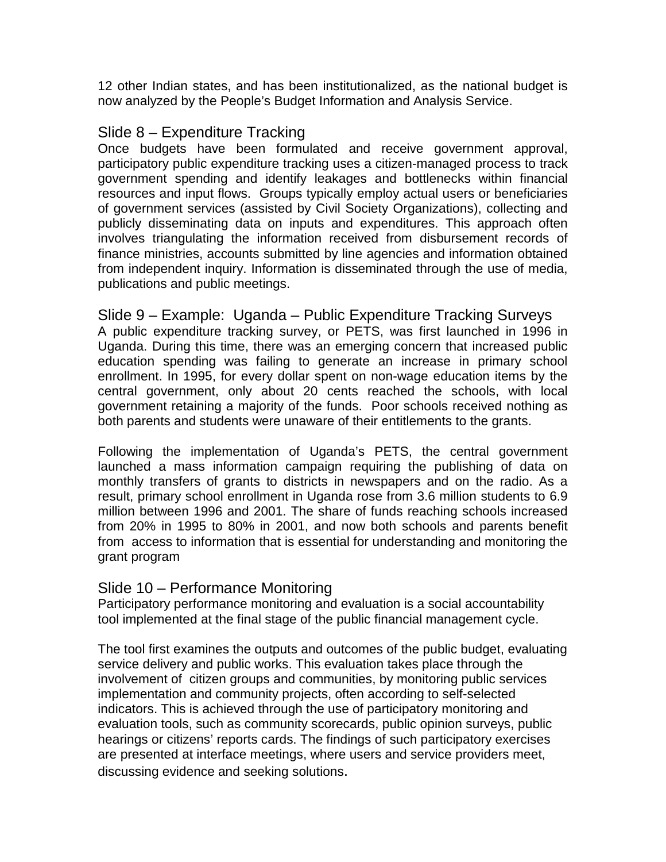12 other Indian states, and has been institutionalized, as the national budget is now analyzed by the People's Budget Information and Analysis Service.

#### Slide 8 – Expenditure Tracking

Once budgets have been formulated and receive government approval, participatory public expenditure tracking uses a citizen-managed process to track government spending and identify leakages and bottlenecks within financial resources and input flows. Groups typically employ actual users or beneficiaries of government services (assisted by Civil Society Organizations), collecting and publicly disseminating data on inputs and expenditures. This approach often involves triangulating the information received from disbursement records of finance ministries, accounts submitted by line agencies and information obtained from independent inquiry. Information is disseminated through the use of media, publications and public meetings.

Slide 9 – Example: Uganda – Public Expenditure Tracking Surveys A public expenditure tracking survey, or PETS, was first launched in 1996 in Uganda. During this time, there was an emerging concern that increased public education spending was failing to generate an increase in primary school enrollment. In 1995, for every dollar spent on non-wage education items by the central government, only about 20 cents reached the schools, with local government retaining a majority of the funds. Poor schools received nothing as both parents and students were unaware of their entitlements to the grants.

Following the implementation of Uganda's PETS, the central government launched a mass information campaign requiring the publishing of data on monthly transfers of grants to districts in newspapers and on the radio. As a result, primary school enrollment in Uganda rose from 3.6 million students to 6.9 million between 1996 and 2001. The share of funds reaching schools increased from 20% in 1995 to 80% in 2001, and now both schools and parents benefit from access to information that is essential for understanding and monitoring the grant program

#### Slide 10 – Performance Monitoring

Participatory performance monitoring and evaluation is a social accountability tool implemented at the final stage of the public financial management cycle.

The tool first examines the outputs and outcomes of the public budget, evaluating service delivery and public works. This evaluation takes place through the involvement of citizen groups and communities, by monitoring public services implementation and community projects, often according to self-selected indicators. This is achieved through the use of participatory monitoring and evaluation tools, such as community scorecards, public opinion surveys, public hearings or citizens' reports cards. The findings of such participatory exercises are presented at interface meetings, where users and service providers meet, discussing evidence and seeking solutions.